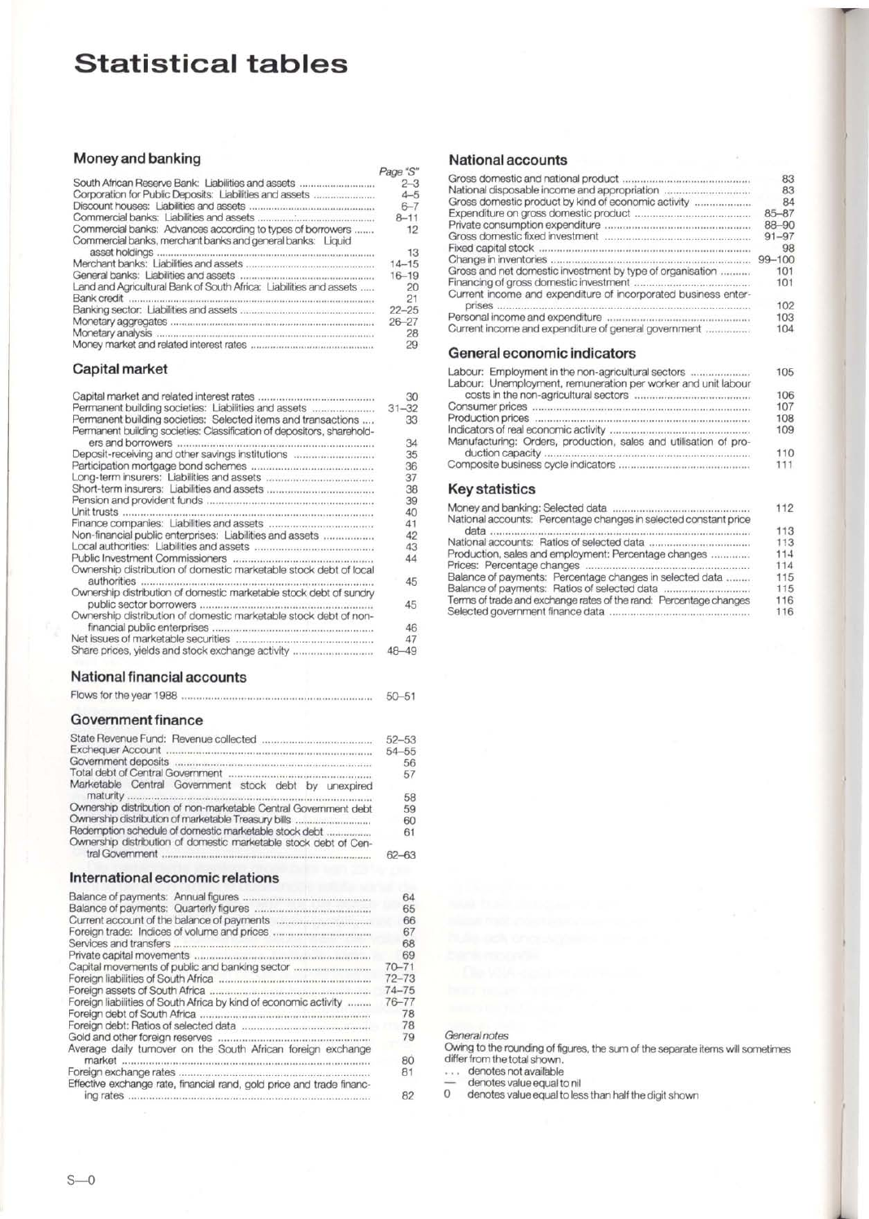# **Statistical tables**

#### **Money and banking**

|                                                                                                                          | Page "S"  |
|--------------------------------------------------------------------------------------------------------------------------|-----------|
| South African Reserve Bank: Liabilities and assets                                                                       | $2 - 3$   |
|                                                                                                                          | $4 - 5$   |
|                                                                                                                          | $6 - 7$   |
|                                                                                                                          | $8 - 11$  |
| Commercial banks: Advances according to types of borrowers<br>Commercial banks, merchant banks and general banks: Liquid | 12        |
|                                                                                                                          | 13        |
|                                                                                                                          | $14 - 15$ |
| General banks: Liabilities and assets                                                                                    | $16 - 19$ |
| Land and Agricultural Bank of South Africa: Liabilities and assets                                                       | 20        |
|                                                                                                                          | 21        |
|                                                                                                                          | $22 - 25$ |
|                                                                                                                          | $26 - 27$ |
| Monetary analysis                                                                                                        | 28        |
|                                                                                                                          | 29        |

#### **Capital market**

|                                                                        | 30        |
|------------------------------------------------------------------------|-----------|
| Permanent building societies: Liabilities and assets                   | $31 - 32$ |
| Permanent building societies: Selected items and transactions          | 33        |
| Permanent building societies: Classification of depositors, sharehold- |           |
| ers and borrowers                                                      | 34        |
| Deposit-receiving and other savings institutions                       | 35        |
|                                                                        | 36        |
|                                                                        | 37        |
|                                                                        | 38        |
|                                                                        | 39        |
|                                                                        | 40        |
|                                                                        |           |
|                                                                        | 41        |
| Non-financial public enterprises: Liabilities and assets               | 42        |
|                                                                        | 43        |
|                                                                        | 44        |
| Ownership distribution of domestic marketable stock debt of local      |           |
| authorities                                                            | 45        |
| Ownership distribution of domestic marketable stock debt of sundry     |           |
|                                                                        |           |
| public sector borrowers                                                | 45        |
| Ownership distribution of domestic marketable stock debt of non-       |           |
|                                                                        | 46        |
|                                                                        | 47        |
| Share prices, yields and stock exchange activity                       | 48 - 49   |
|                                                                        |           |

#### **National financial accounts**

|  |  | $50 - 51$ |
|--|--|-----------|
|--|--|-----------|

#### **Government finance**

|                                                                  | $52 - 53$ |
|------------------------------------------------------------------|-----------|
|                                                                  | $54 - 55$ |
|                                                                  | 56        |
|                                                                  | 57        |
| Marketable Central Government stock debt by unexpired            |           |
|                                                                  | 58        |
| Ownership distribution of non-marketable Central Government debt | 59        |
| Ownership distribution of marketable Treasury bills              | 60        |
| Redemption schedule of domestic marketable stock debt            | 61        |
| Ownership distribution of domestic marketable stock debt of Cen- |           |
|                                                                  |           |

#### **International economic relations**

|                                                                       | 64        |
|-----------------------------------------------------------------------|-----------|
|                                                                       | 65        |
|                                                                       | 66        |
|                                                                       | 67        |
| Services and transfers<br>                                            | 68        |
|                                                                       | 69        |
| Capital movements of public and banking sector                        | $70 - 71$ |
|                                                                       | $72 - 73$ |
|                                                                       | $74 - 75$ |
| Foreign liabilities of South Africa by kind of economic activity      | $76 - 77$ |
| Foreign debt of South Africa                                          | 78        |
|                                                                       | 78        |
| Gold and other foreign reserves                                       | 79        |
| Average daily turnover on the South African foreign exchange          |           |
| market                                                                | 80        |
| Foreign exchange rates                                                | 81        |
| Effective exchange rate, financial rand, gold price and trade financ- |           |
| ing rates                                                             | 82        |
|                                                                       |           |

## **National accounts**

|                                                                | 83        |
|----------------------------------------------------------------|-----------|
| National disposable income and appropriation                   | 83        |
| Gross domestic product by kind of economic activity            | 84        |
|                                                                | $85 - 87$ |
|                                                                | 88-90     |
|                                                                | $91 - 97$ |
|                                                                | 98        |
|                                                                | 99-100    |
| Gross and net domestic investment by type of organisation      | 101       |
|                                                                | 101       |
| Current income and expenditure of incorporated business enter- |           |
| <b>Drises</b>                                                  | 102       |
|                                                                | 103       |
| Current income and expenditure of general government           | 104       |
| General economic indicators                                    |           |
| Labour: Employment in the non-agricultural sectors             | 105       |
| Labour: Unemployment, remuneration per worker and unit labour  |           |
| costs in the non-agricultural sectors                          | 106       |

|                                                                  | 106 |
|------------------------------------------------------------------|-----|
|                                                                  | 107 |
|                                                                  | 108 |
|                                                                  | 109 |
| Manufacturing: Orders, production, sales and utilisation of pro- |     |
|                                                                  | 110 |
|                                                                  | 111 |

### **Key statistics**

|                                                                   | 112 |
|-------------------------------------------------------------------|-----|
| National accounts: Percentage changes in selected constant price  |     |
|                                                                   | 113 |
|                                                                   | 113 |
| Production, sales and employment: Percentage changes              | 114 |
|                                                                   | 114 |
| Balance of payments: Percentage changes in selected data          | 115 |
|                                                                   | 115 |
| Terms of trade and exchange rates of the rand: Percentage changes | 116 |
|                                                                   | 116 |
|                                                                   |     |

#### General notes

Owing to the rounding of figures, the sum of the separate items will sometimes differ from the total shown.

... denotes not available<br>— denotes value equal to nil<br>0 denotes value equal to less than half the digit shown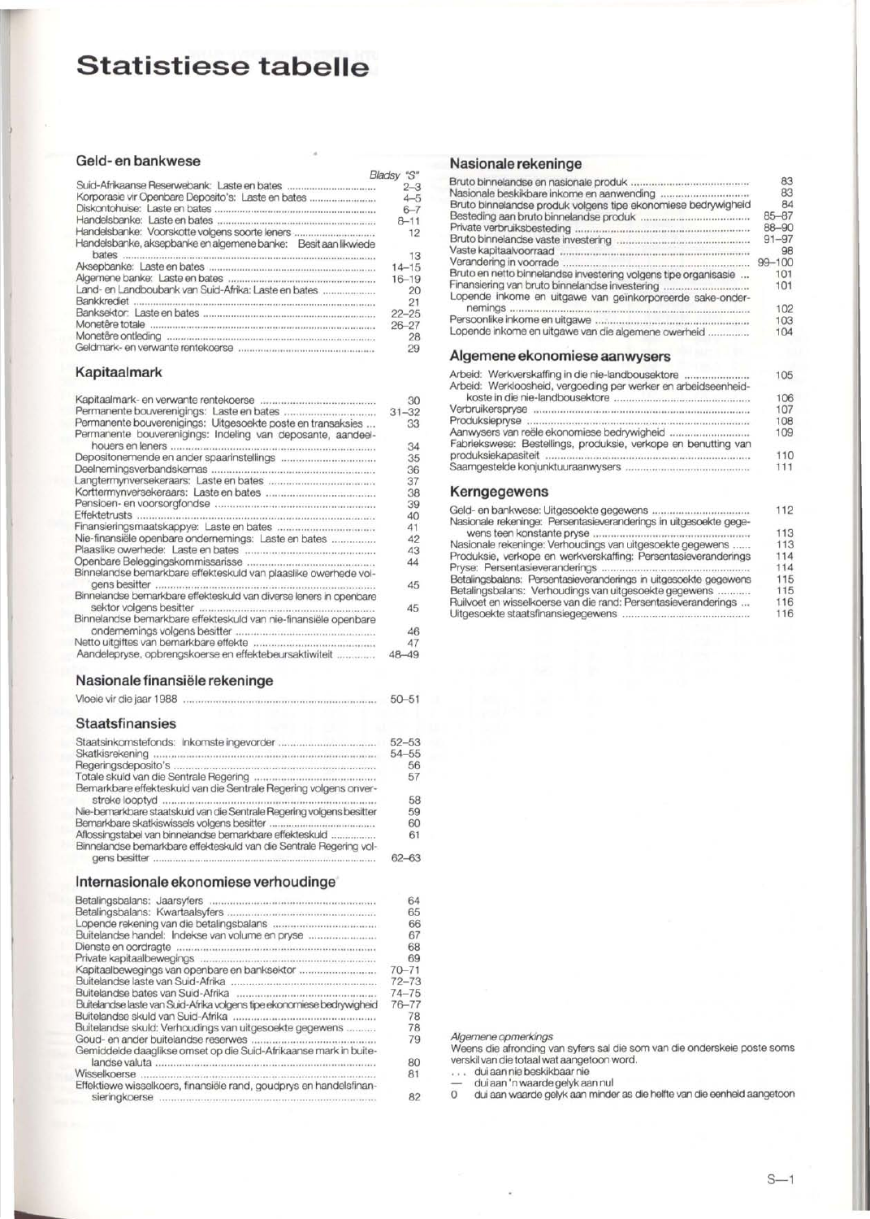# **Statistiese tabelle**

#### **Geld- en bankwese**

|                                                                                                                                                                                                                                                                                                                                                                                                                                                                                                                        | "S"<br>Bladsv |
|------------------------------------------------------------------------------------------------------------------------------------------------------------------------------------------------------------------------------------------------------------------------------------------------------------------------------------------------------------------------------------------------------------------------------------------------------------------------------------------------------------------------|---------------|
|                                                                                                                                                                                                                                                                                                                                                                                                                                                                                                                        | $2 - 3$       |
| Korporasie vir Openbare Deposito's: Laste en bates                                                                                                                                                                                                                                                                                                                                                                                                                                                                     | $4 - 5$       |
|                                                                                                                                                                                                                                                                                                                                                                                                                                                                                                                        | $6 - 7$       |
|                                                                                                                                                                                                                                                                                                                                                                                                                                                                                                                        | $8 - 11$      |
| Handelsbanke: Voorskotte volgens soorte leners                                                                                                                                                                                                                                                                                                                                                                                                                                                                         | 12            |
| Handelsbanke, aksepbanke en algemene banke: Besit aan likwiede                                                                                                                                                                                                                                                                                                                                                                                                                                                         |               |
|                                                                                                                                                                                                                                                                                                                                                                                                                                                                                                                        | 13            |
|                                                                                                                                                                                                                                                                                                                                                                                                                                                                                                                        | $14 - 15$     |
|                                                                                                                                                                                                                                                                                                                                                                                                                                                                                                                        | $16 - 19$     |
| Land- en Landboubank van Suid-Afrika: Laste en bates                                                                                                                                                                                                                                                                                                                                                                                                                                                                   | 20            |
| Bankkrediet<br>$\begin{minipage}{0.9\linewidth} \begin{tabular}{ c c c c c } \hline \multicolumn{1}{ c }{0.9\linewidth} \end{tabular} \end{minipage} \begin{minipage}{0.9\linewidth} \begin{tabular}{ c c c c } \hline \multicolumn{1}{ c }{0.9\linewidth} \end{tabular} \end{minipage} \begin{minipage}{0.9\linewidth} \end{minipage} \begin{minipage}{0.9\linewidth} \end{minipage} \begin{minipage}{0.9\linewidth} \end{minipage} \begin{minipage}{0.9\linewidth} \end{minipage} \begin{minipage}{0.9\linewidth} \$ | 21            |
|                                                                                                                                                                                                                                                                                                                                                                                                                                                                                                                        | $22 - 25$     |
| Monetêre totale                                                                                                                                                                                                                                                                                                                                                                                                                                                                                                        | $26 - 27$     |
|                                                                                                                                                                                                                                                                                                                                                                                                                                                                                                                        | 28            |
|                                                                                                                                                                                                                                                                                                                                                                                                                                                                                                                        | 29            |

#### **Kapitaalmark**

|                                                                    | 30        |
|--------------------------------------------------------------------|-----------|
| Permanente bouverenigings: Laste en bates                          | $31 - 32$ |
| Permanente bouverenigings: Uitgesoekte poste en transaksies        | 33        |
| Permanente bouverenigings: Indeling van deposante, aandeel-        |           |
| houers en leners                                                   | 34        |
|                                                                    | 35        |
|                                                                    |           |
|                                                                    | 36        |
|                                                                    | 37        |
|                                                                    | 38        |
|                                                                    | 39        |
| Effektetrusts                                                      | 40        |
|                                                                    | 41        |
| Nie-finansiële openbare ondernemings: Laste en bates               | 42        |
|                                                                    | 43        |
|                                                                    | 44        |
| Binnelandse bemarkbare effekteskuld van plaaslike owerhede vol-    |           |
|                                                                    |           |
| gens besitter                                                      | 45        |
| Binnelandse bemarkbare effekteskuld van diverse leners in openbare |           |
| sektor volgens besitter                                            | 45        |
| Binnelandse bemarkbare effekteskuld van nie-finansiële openbare    |           |
|                                                                    | 46        |
|                                                                    | 47        |
| Aandelepryse, opbrengskoerse en effektebeursaktiwiteit             | 48-49     |
|                                                                    |           |

#### **Nasionale finansiele rekeninge**

Vloeie vir die jaar 1988 50-51

#### **Staatsfinansies**

|                                                                      | $52 - 53$ |
|----------------------------------------------------------------------|-----------|
|                                                                      | $54 - 55$ |
|                                                                      | 56        |
|                                                                      | 57        |
| Bemarkbare effekteskuld van die Sentrale Regering volgens onver-     |           |
|                                                                      | 58        |
| Nie-bemarkbare staatskuld van die Sentrale Regering volgens besitter | 59        |
|                                                                      | 60        |
| Aflossingstabel van binnelandse bemarkbare effekteskuld              | 61        |
| Binnelandse bemarkbare effekteskuld van die Sentrale Regering vol-   |           |
|                                                                      |           |

#### **Internasionale ekonomiese verhoudinge**

|                                                                        | 64        |
|------------------------------------------------------------------------|-----------|
|                                                                        | 65        |
|                                                                        | 66        |
| Buitelandse handel: Indekse van volume en pryse                        | 67        |
|                                                                        | 68        |
|                                                                        | 69        |
| Kapitaalbewegings van openbare en banksektor                           | $70 - 71$ |
|                                                                        | $72 - 73$ |
|                                                                        | $74 - 75$ |
| Buitelandse laste van Suid-Afrika volgens tipe ekonomiese bedrywigheid | $76 - 77$ |
| Buitelandse skuld van Suid-Afrika                                      | 78        |
| Buitelandse skuld: Verhoudings van uitgesoekte gegewens                | 78        |
| Goud- en ander buitelandse reserwes                                    | 79        |
| Gemiddelde daaglikse omset op die Suid-Afrikaanse mark in buite-       |           |
|                                                                        | 80        |
| Wisselkoerse                                                           | 81        |
| Effektiewe wisselkoers, finansiële rand, goudprys en handelsfinan-     |           |
| sieringkoerse                                                          | 82        |

### **Nasionale rekeninge**

|                                                                 | 83        |
|-----------------------------------------------------------------|-----------|
|                                                                 | 83        |
|                                                                 | 84        |
| Bruto binnelandse produk volgens tipe ekonomiese bedrywigheid   |           |
|                                                                 | $85 - 87$ |
| Private verbruiksbesteding.                                     | 88-90     |
|                                                                 | $91 - 97$ |
| Vaste kapitaalvoorraad.                                         | 98        |
| Verandering in voorrade                                         | 99-100    |
| Bruto en netto binnelandse investering volgens tipe organisasie | 101       |
| Finansiering van bruto binnelandse investering                  | 101       |
| Lopende inkome en uitgawe van geïnkorporeerde sake-onder-       |           |
| nemings                                                         | 102       |
|                                                                 | 103       |
| Lopende inkome en uitgawe van die algemene owerheid             | 104       |
| Algomono okonomiaco agpunuocio                                  |           |

#### **Aigemene ekonomiese aanwysers**

| Arbeid: Werkverskaffing in die nie-landbousektore              | 105 |
|----------------------------------------------------------------|-----|
| Arbeid: Werkloosheid, vergoeding per werker en arbeidseenheid- | 106 |
|                                                                | 107 |
|                                                                | 108 |
|                                                                | 109 |
| Fabriekswese: Bestellings, produksie, verkope en benutting van |     |
|                                                                | 110 |
|                                                                | 111 |
|                                                                |     |

#### **Kerngegewens**

|                                                                   | 112 |
|-------------------------------------------------------------------|-----|
| Nasionale rekeninge: Persentasieveranderings in uitgesoekte gege- |     |
| wens teen konstante pryse                                         | 113 |
| Nasionale rekeninge: Verhoudings van uitgesoekte gegewens         | 113 |
| Produksie, verkope en werkverskaffing: Persentasieveranderings    | 114 |
| Pryse: Persentasieveranderings.                                   | 114 |
| Betalingsbalans: Persentasieveranderings in uitgesoekte gegewens  | 115 |
| Betalingsbalans: Verhoudings van uitgesoekte gegewens             | 115 |
| Ruilvoet en wisselkoerse van die rand: Persentasieveranderings    | 116 |
|                                                                   | 116 |

*Algemene opmerkings*<br>Weens die afronding van syfers sal die som van die onderskeie poste soms verskil van die totaal wat aangetoon word.

... dui aan nie beskikbaar nie

— dui aan 'n waarde gelyk aan nul<br>0 dui aan waarde gelyk aan minder as die helfte van die eenheid aangetoon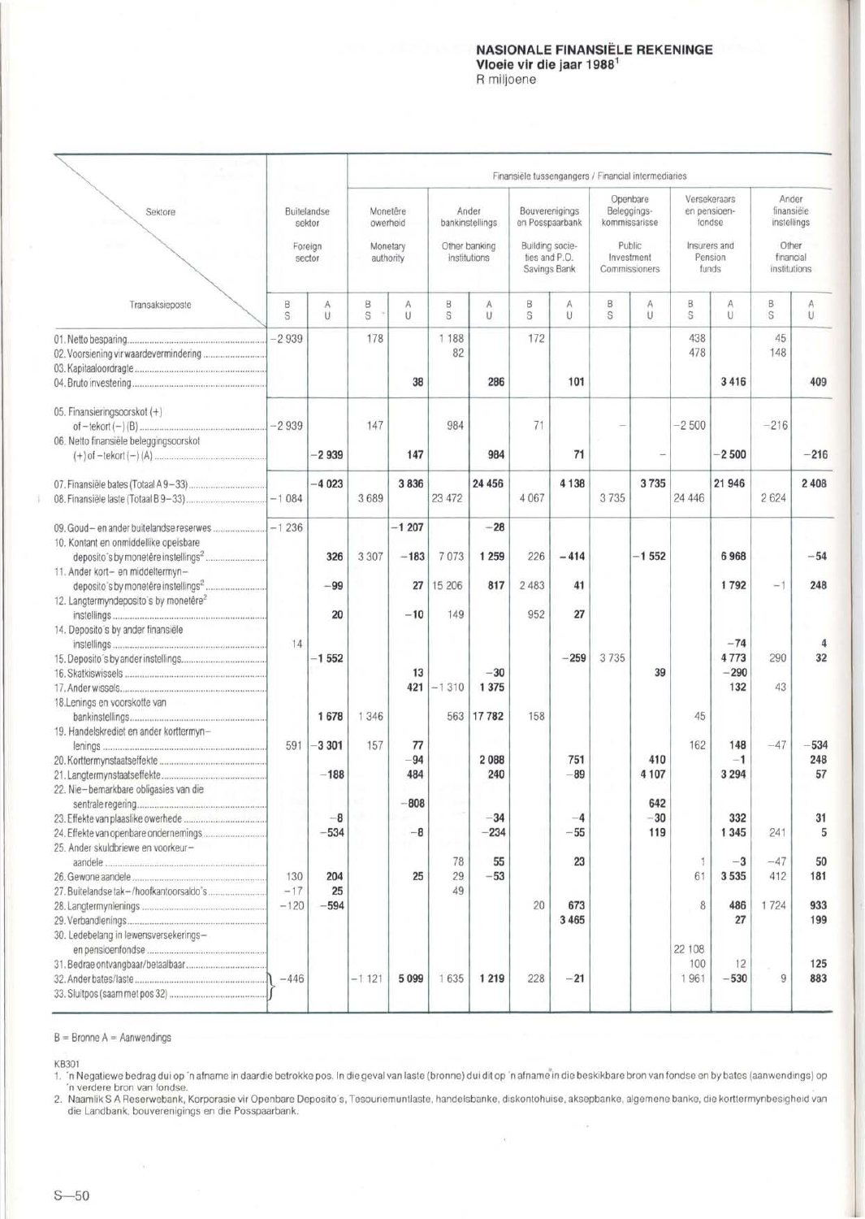#### NASIONALE FINANSIELE REKENINGE Vloeie vir die jaar 1988<sup>1</sup> R miljoene

|                                                                             |                   |                       |                       |                         |                |                               |                                                  | Finansiële tussengangers / Financial intermediaries |                             |                     |                       |                                        |                                    |                     |
|-----------------------------------------------------------------------------|-------------------|-----------------------|-----------------------|-------------------------|----------------|-------------------------------|--------------------------------------------------|-----------------------------------------------------|-----------------------------|---------------------|-----------------------|----------------------------------------|------------------------------------|---------------------|
| Sektore                                                                     |                   | Buitelandse<br>sektor | Monetêre<br>owerheid  |                         |                | Ander<br>bankinstellings      | Bouverenigings<br>en Posspaarbank                |                                                     | Openbare<br>Beleggings-     | kommissarisse       |                       | Versekeraars<br>en pensioen-<br>fondse | finansiële<br>instellings          | Ander               |
|                                                                             | Foreign<br>sector |                       | Monetary<br>authority |                         |                | Other banking<br>institutions | Building socie-<br>ties and P.O.<br>Savings Bank |                                                     | Investment<br>Commissioners | Public.             |                       | Insurers and<br>Pension<br>funds       | Other<br>financial<br>institutions |                     |
| Transaksieposte                                                             | B<br>S            | A<br>U.               | B<br>S.               | Α<br>U                  | В<br>S         | A<br>U                        | B<br>S                                           | Α<br>U                                              | B<br>S                      | Α<br>U              | В<br>S                | Α<br>U                                 | B<br>S                             | Α<br>$\cup$         |
|                                                                             | $-2939$           |                       | 178                   | 38                      | 1 1 8 8<br>82  | 286                           | 172                                              | 101                                                 |                             |                     | 438<br>478            | 3 4 1 6                                | 45<br>148                          | 409                 |
| 05. Finansieringsoorskot (+)<br>06. Netto finansiële beleggingsoorskot      | $-2939$           |                       | 147                   |                         | 984            |                               | 71                                               |                                                     |                             |                     | $-2500$               |                                        | $-216$                             |                     |
|                                                                             |                   | $-2939$               |                       | 147                     |                | 984                           |                                                  | 71                                                  |                             |                     |                       | $-2500$                                |                                    | $-216$              |
|                                                                             |                   | $-4023$               | 3689                  | 3836                    | 23 472         | 24 45 6                       | 4 0 6 7                                          | 4 1 3 8                                             | 3735                        | 3735                | 24 446                | 21 946                                 | 2624                               | 2 4 0 8             |
| 10. Kontant en onmiddellike opeisbare<br>11. Ander kort- en middeltermyn-   | $-1236$           | 326<br>$-99$          | 3 3 0 7               | $-1207$<br>$-183$<br>27 | 7073<br>15 206 | $-28$<br>1 2 5 9<br>817       | 226<br>2 4 8 3                                   | $-414$<br>41                                        |                             | $-1552$             |                       | 6968<br>1792                           | $-1$                               | $-54$<br>248        |
| 12. Langtermyndeposito's by monetêre <sup>2</sup>                           |                   | 20                    |                       | $-10$                   | 149            |                               | 952                                              | 27                                                  |                             |                     |                       |                                        |                                    |                     |
| 14. Deposito's by ander finansiële                                          | 14                | $-1552$               |                       | 13<br>421               | $-1310$        | $-30$<br>1 3 7 5              |                                                  | $-259$                                              | 3735                        | 39                  |                       | $-74$<br>4773<br>$-290$<br>132         | 290<br>43                          | 32                  |
| 18.Lenings en voorskotte van                                                |                   | 1678                  | 1 3 4 6               |                         | 563            | 17782                         | 158                                              |                                                     |                             |                     | 45                    |                                        |                                    |                     |
| 19. Handelskrediet en ander korttermyn-                                     | 591               | $-3301$<br>$-188$     | 157                   | 77<br>$-94$<br>484      |                | 2088<br>240                   |                                                  | 751<br>$-89$                                        |                             | 410<br>4 107        | 162                   | 148<br>$-1$<br>3 2 9 4                 | $-47$                              | $-534$<br>248<br>57 |
| 22. Nie-bemarkbare obligasies van die<br>25. Ander skuldbriewe en voorkeur- |                   | $-8$<br>$-534$        |                       | $-808$<br>$-8$          |                | $-34$<br>$-234$               |                                                  | $-4$<br>$-55$                                       |                             | 642<br>$-30$<br>119 |                       | 332<br>1 3 4 5                         | 241                                | 31<br>5             |
|                                                                             | 130<br>$-17$      | 204<br>25             |                       | 25                      | 78<br>29<br>49 | 55<br>$-53$                   |                                                  | 23                                                  |                             |                     | $\mathbf{1}$<br>61    | $-3$<br>3535                           | $-47$<br>412                       | 50<br>181           |
| 30. Ledebelang in lewensversekerings-                                       | $-120$            | $-594$                |                       |                         |                |                               | 20                                               | 673<br>3 4 6 5                                      |                             |                     | 8                     | 486<br>27                              | 1724                               | 933<br>199          |
|                                                                             | $-446$            |                       | $-1121$               | 5099                    | 1635           | 1 2 1 9                       | 228                                              | $-21$                                               |                             |                     | 22 108<br>100<br>1961 | 12<br>$-530$                           | 9                                  | 125<br>883          |

 $B =$  Bronne  $A =$  Aanwendings

KB301

1. 'n Negatiewe bedrag dui op 'n afname in daardie betrokke pos. In die geval van laste (bronne) dui dit op 'n afname<sup>"</sup>in die beskikbare bron van fondse en by bates (aanwendings) op

n verdere bron van fondse. 2. Naamlik S A Reserwebank, Korporasie vir Openbare Deposito's, Tesouriemuntlaste, handelsbanke, diskontohuise, aksepbanke, algemene banke, die korttermynbesigheid van die Landbank, bouverenigings en die Posspaarbank.

 $\lambda$ 

 $\bar{\rm G}$